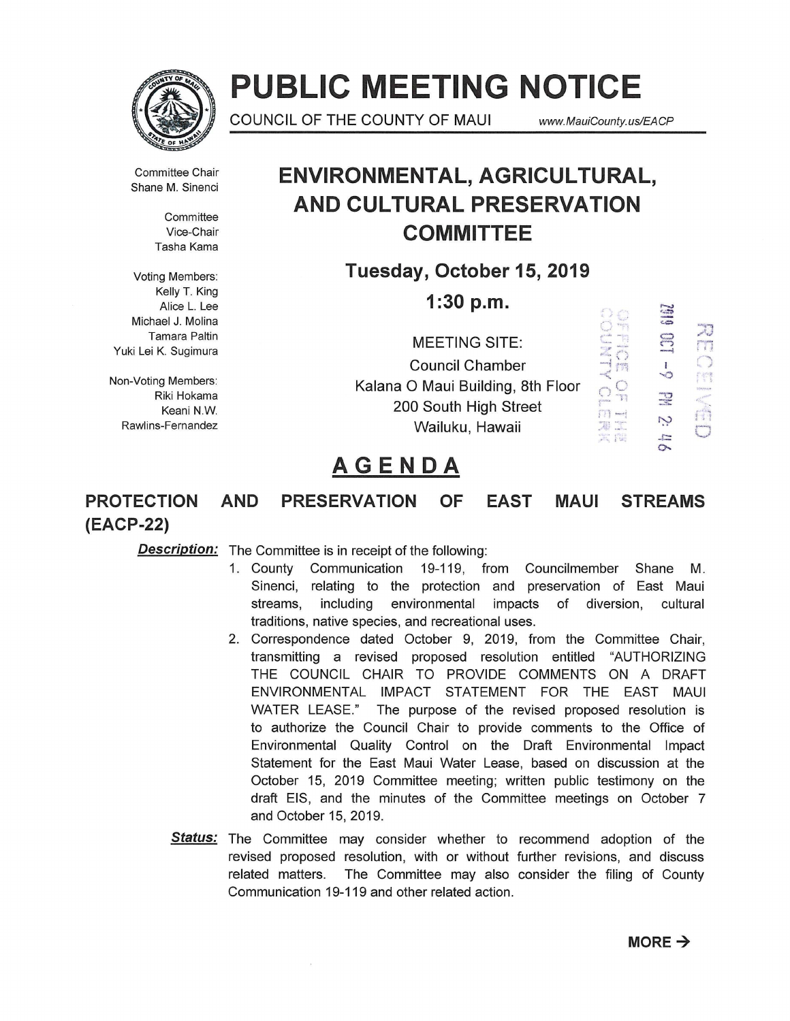

# **PUBLIC MEETING NOTICE**

COUNCIL OF THE COUNTY OF MAUI www.MauiCounty.us/EACP

Committee Chair Shane M. Sinenci

> **Committee** Vice-Chair Tasha Kama

Voting Members: Kelly T. King Alice L. Lee Michael J. Molina Tamara Paltin Yuki Lei K. Sugimura

Non-Voting Members: Riki Hokama Keani N.W Rawlins-Fernandez

## **ENVIRONMENTAL, AGRICULTURAL, AND CULTURAL PRESERVATION COMMITTEE**

**Tuesday, October 15, 2019** 

**1:30 p.m.** 

MEETING SITE: Council Chamber Kalana 0 Maui Building, 8th Floor 200 South High Street Wailuku, Hawaii



# **AGENDA**

### **PROTECTION AND PRESERVATION OF EAST MAUl STREAMS (EACP-22)**

**Description:** The Committee is in receipt of the following:

- 1. County Communication 19-119, from Councilmember Shane M. Sinenci, relating to the protection and preservation of East Maui streams, including environmental impacts of diversion, cultural traditions, native species, and recreational uses.
- 2. Correspondence dated October 9, 2019, from the Committee Chair, transmitting a revised proposed resolution entitled "AUTHORIZING THE COUNCIL CHAIR TO PROVIDE COMMENTS ON A DRAFT ENVIRONMENTAL IMPACT STATEMENT FOR THE EAST MAUl WATER LEASE." The purpose of the revised proposed resolution is to authorize the Council Chair to provide comments to the Office of Environmental Quality Control on the Draft Environmental Impact Statement for the East Maui Water Lease, based on discussion at the October 15, 2019 Committee meeting; written public testimony on the draft EIS, and the minutes of the Committee meetings on October 7 and October 15, 2019.
- **Status:** The Committee may consider whether to recommend adoption of the revised proposed resolution, with or without further revisions, and discuss related matters. The Committee may also consider the filing of County Communication 19-119 and other related action.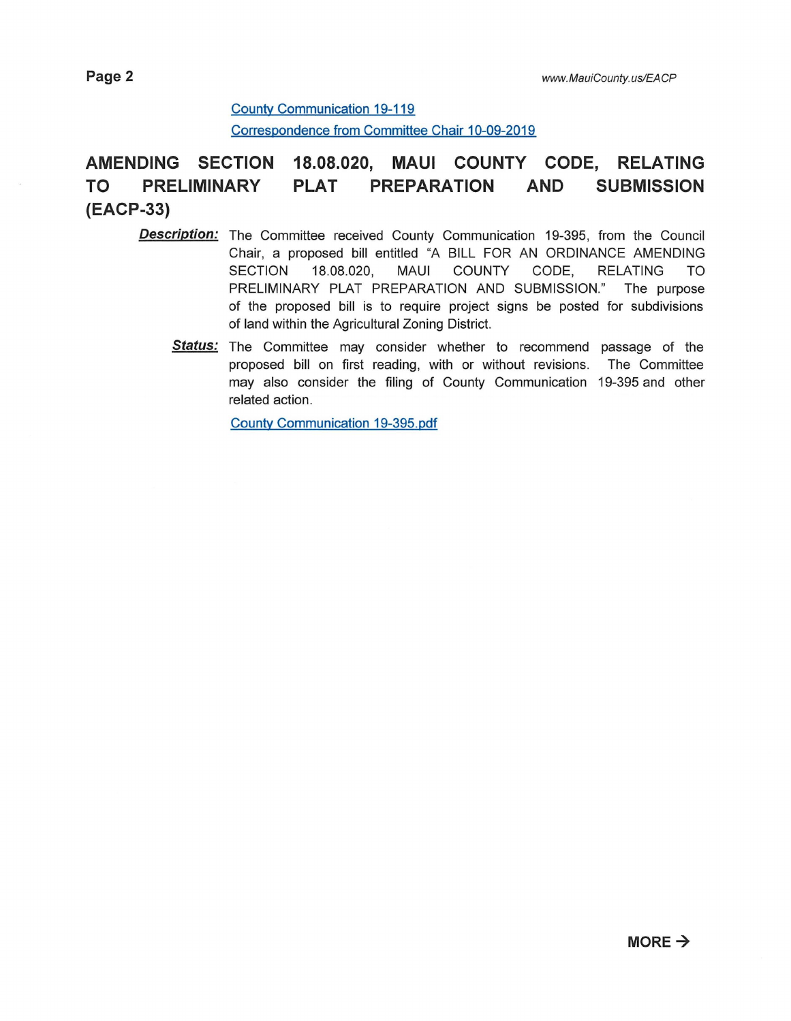#### County Communication 19-119

Correspondence from Committee Chair 10-09-2019

### **AMENDING SECTION 18.08.020, MAUl COUNTY CODE, RELATING TO PRELIMINARY PLAT PREPARATION AND SUBMISSION (EACP-33)**

- **Description:** The Committee received County Communication 19-395, from the Council Chair, a proposed bill entitled "A BILL FOR AN ORDINANCE AMENDING SECTION 18.08.020, MAUl COUNTY CODE, RELATING TO PRELIMINARY PLAT PREPARATION AND SUBMISSION." The purpose of the proposed bill is to require project signs be posted for subdivisions of land within the Agricultural Zoning District.
	- **Status:** The Committee may consider whether to recommend passage of the proposed bill on first reading, with or without revisions. The Committee may also consider the filing of County Communication 19-395 and other related action.

County Communication 19-395.pdf